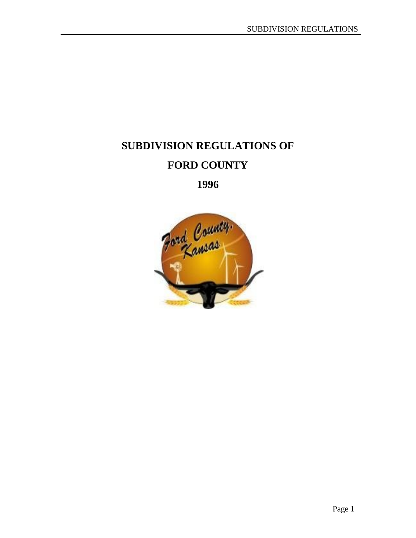# **SUBDIVISION REGULATIONS OF FORD COUNTY**

**1996**

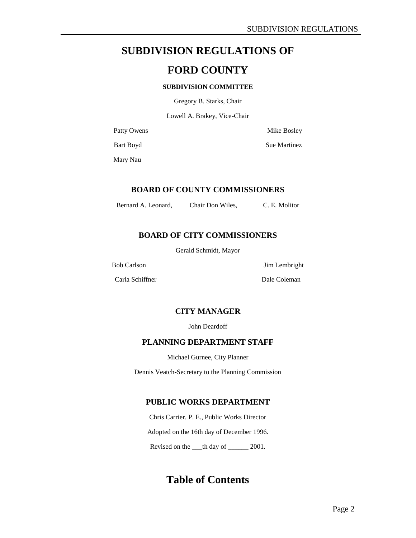# **SUBDIVISION REGULATIONS OF**

# **FORD COUNTY**

### **SUBDIVISION COMMITTEE**

Gregory B. Starks, Chair

Lowell A. Brakey, Vice-Chair

Patty Owens Mike Bosley

Bart Boyd Sue Martinez

Mary Nau

### **BOARD OF COUNTY COMMISSIONERS**

Bernard A. Leonard, Chair Don Wiles, C. E. Molitor

# **BOARD OF CITY COMMISSIONERS**

Gerald Schmidt, Mayor

Carla Schiffner Dale Coleman

Bob Carlson Jim Lembright

### **CITY MANAGER**

John Deardoff

### **PLANNING DEPARTMENT STAFF**

Michael Gurnee, City Planner

Dennis Veatch-Secretary to the Planning Commission

### **PUBLIC WORKS DEPARTMENT**

Chris Carrier. P. E., Public Works Director Adopted on the 16th day of December 1996. Revised on the \_\_\_th day of \_\_\_\_\_\_ 2001.

**Table of Contents**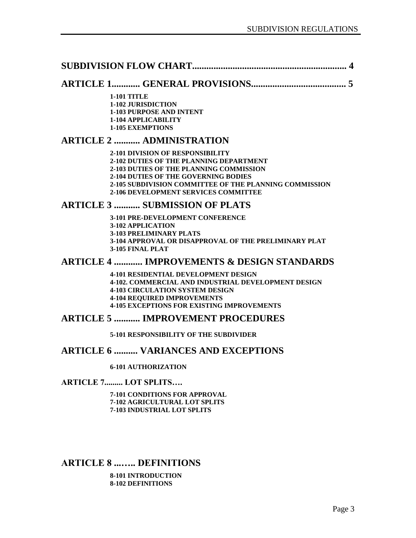|--|--|

# **ARTICLE 1............ GENERAL PROVISIONS........................................ 5**

**1-101 TITLE 1-102 JURISDICTION 1-103 PURPOSE AND INTENT 1-104 APPLICABILITY 1-105 EXEMPTIONS** 

### **ARTICLE 2 ........... ADMINISTRATION**

**2-101 DIVISION OF RESPONSIBILITY 2-102 DUTIES OF THE PLANNING DEPARTMENT 2-103 DUTIES OF THE PLANNING COMMISSION 2-104 DUTIES OF THE GOVERNING BODIES 2-105 SUBDIVISION COMMITTEE OF THE PLANNING COMMISSION 2-106 DEVELOPMENT SERVICES COMMITTEE** 

### **ARTICLE 3 ........... SUBMISSION OF PLATS**

**3-101 PRE-DEVELOPMENT CONFERENCE 3-102 APPLICATION 3-103 PRELIMINARY PLATS 3-104 APPROVAL OR DISAPPROVAL OF THE PRELIMINARY PLAT 3-105 FINAL PLAT** 

### **ARTICLE 4 ............ IMPROVEMENTS & DESIGN STANDARDS**

**4-101 RESIDENTIAL DEVELOPMENT DESIGN 4-102. COMMERCIAL AND INDUSTRIAL DEVELOPMENT DESIGN 4-103 CIRCULATION SYSTEM DESIGN 4-104 REQUIRED IMPROVEMENTS 4-105 EXCEPTIONS FOR EXISTING IMPROVEMENTS** 

### **ARTICLE 5 ........... IMPROVEMENT PROCEDURES**

**5-101 RESPONSIBILITY OF THE SUBDIVIDER** 

### **ARTICLE 6 .......... VARIANCES AND EXCEPTIONS**

**6-101 AUTHORIZATION** 

**ARTICLE 7......... LOT SPLITS….**

**7-101 CONDITIONS FOR APPROVAL 7-102 AGRICULTURAL LOT SPLITS 7-103 INDUSTRIAL LOT SPLITS** 

# **ARTICLE 8 ...….. DEFINITIONS**

**8-101 INTRODUCTION 8-102 DEFINITIONS**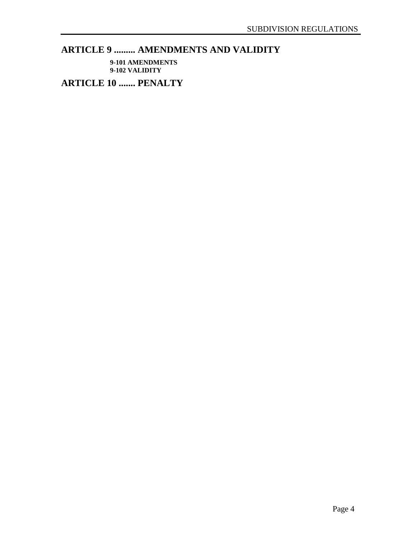# **ARTICLE 9 ......... AMENDMENTS AND VALIDITY**

**9-101 AMENDMENTS 9-102 VALIDITY** 

**ARTICLE 10 ....... PENALTY**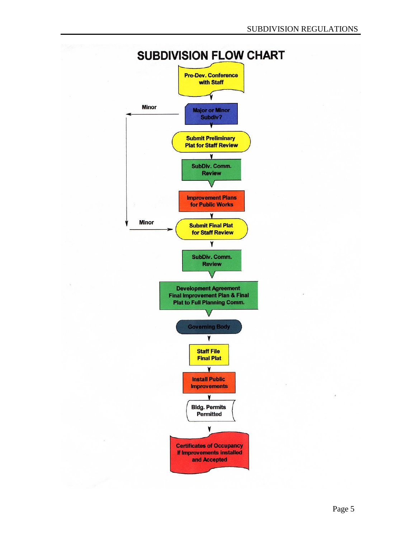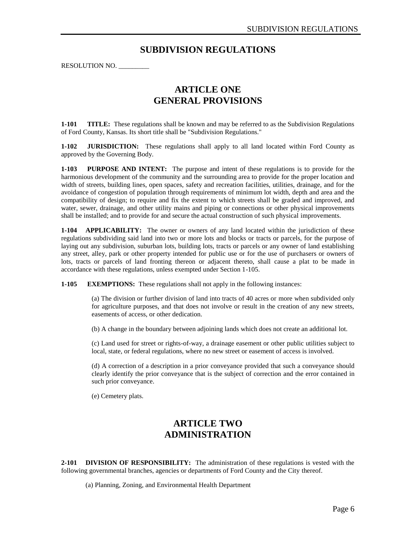# **SUBDIVISION REGULATIONS**

RESOLUTION NO. \_\_\_\_\_\_\_\_\_

# **ARTICLE ONE GENERAL PROVISIONS**

**1-101 TITLE:** These regulations shall be known and may be referred to as the Subdivision Regulations of Ford County, Kansas. Its short title shall be "Subdivision Regulations."

**1-102 JURISDICTION:** These regulations shall apply to all land located within Ford County as approved by the Governing Body.

**1-103 PURPOSE AND INTENT:** The purpose and intent of these regulations is to provide for the harmonious development of the community and the surrounding area to provide for the proper location and width of streets, building lines, open spaces, safety and recreation facilities, utilities, drainage, and for the avoidance of congestion of population through requirements of minimum lot width, depth and area and the compatibility of design; to require and fix the extent to which streets shall be graded and improved, and water, sewer, drainage, and other utility mains and piping or connections or other physical improvements shall be installed; and to provide for and secure the actual construction of such physical improvements.

**1-104 APPLICABILITY:** The owner or owners of any land located within the jurisdiction of these regulations subdividing said land into two or more lots and blocks or tracts or parcels, for the purpose of laying out any subdivision, suburban lots, building lots, tracts or parcels or any owner of land establishing any street, alley, park or other property intended for public use or for the use of purchasers or owners of lots, tracts or parcels of land fronting thereon or adjacent thereto, shall cause a plat to be made in accordance with these regulations, unless exempted under Section 1-105.

**1-105 EXEMPTIONS:** These regulations shall not apply in the following instances:

(a) The division or further division of land into tracts of 40 acres or more when subdivided only for agriculture purposes, and that does not involve or result in the creation of any new streets, easements of access, or other dedication.

(b) A change in the boundary between adjoining lands which does not create an additional lot.

(c) Land used for street or rights-of-way, a drainage easement or other public utilities subject to local, state, or federal regulations, where no new street or easement of access is involved.

(d) A correction of a description in a prior conveyance provided that such a conveyance should clearly identify the prior conveyance that is the subject of correction and the error contained in such prior conveyance.

(e) Cemetery plats.

# **ARTICLE TWO ADMINISTRATION**

**2-101 DIVISION OF RESPONSIBILITY:** The administration of these regulations is vested with the following governmental branches, agencies or departments of Ford County and the City thereof.

(a) Planning, Zoning, and Environmental Health Department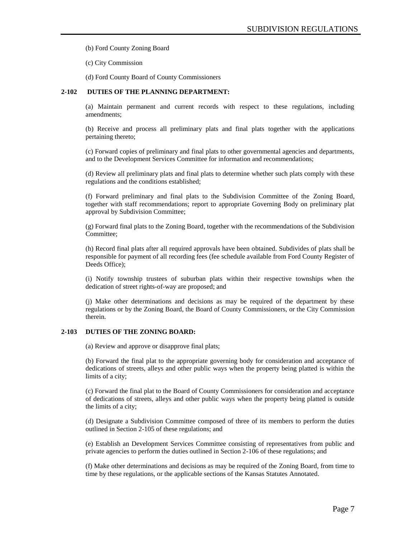(b) Ford County Zoning Board

(c) City Commission

(d) Ford County Board of County Commissioners

### **2-102 DUTIES OF THE PLANNING DEPARTMENT:**

(a) Maintain permanent and current records with respect to these regulations, including amendments;

(b) Receive and process all preliminary plats and final plats together with the applications pertaining thereto;

(c) Forward copies of preliminary and final plats to other governmental agencies and departments, and to the Development Services Committee for information and recommendations;

(d) Review all preliminary plats and final plats to determine whether such plats comply with these regulations and the conditions established;

(f) Forward preliminary and final plats to the Subdivision Committee of the Zoning Board, together with staff recommendations; report to appropriate Governing Body on preliminary plat approval by Subdivision Committee;

(g) Forward final plats to the Zoning Board, together with the recommendations of the Subdivision Committee;

(h) Record final plats after all required approvals have been obtained. Subdivides of plats shall be responsible for payment of all recording fees (fee schedule available from Ford County Register of Deeds Office);

(i) Notify township trustees of suburban plats within their respective townships when the dedication of street rights-of-way are proposed; and

(j) Make other determinations and decisions as may be required of the department by these regulations or by the Zoning Board, the Board of County Commissioners, or the City Commission therein.

#### **2-103 DUTIES OF THE ZONING BOARD:**

(a) Review and approve or disapprove final plats;

(b) Forward the final plat to the appropriate governing body for consideration and acceptance of dedications of streets, alleys and other public ways when the property being platted is within the limits of a city;

(c) Forward the final plat to the Board of County Commissioners for consideration and acceptance of dedications of streets, alleys and other public ways when the property being platted is outside the limits of a city;

(d) Designate a Subdivision Committee composed of three of its members to perform the duties outlined in Section 2-105 of these regulations; and

(e) Establish an Development Services Committee consisting of representatives from public and private agencies to perform the duties outlined in Section 2-106 of these regulations; and

(f) Make other determinations and decisions as may be required of the Zoning Board, from time to time by these regulations, or the applicable sections of the Kansas Statutes Annotated.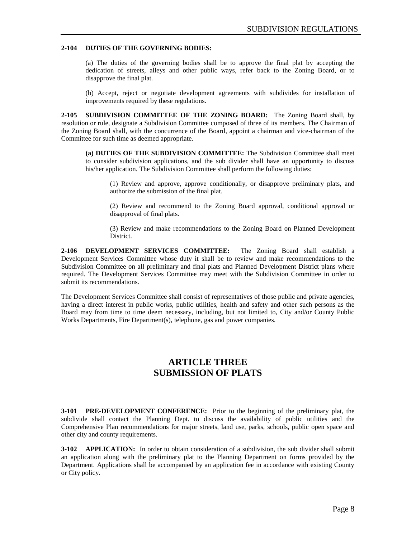#### **2-104 DUTIES OF THE GOVERNING BODIES:**

(a) The duties of the governing bodies shall be to approve the final plat by accepting the dedication of streets, alleys and other public ways, refer back to the Zoning Board, or to disapprove the final plat.

(b) Accept, reject or negotiate development agreements with subdivides for installation of improvements required by these regulations.

**2-105 SUBDIVISION COMMITTEE OF THE ZONING BOARD:** The Zoning Board shall, by resolution or rule, designate a Subdivision Committee composed of three of its members. The Chairman of the Zoning Board shall, with the concurrence of the Board, appoint a chairman and vice-chairman of the Committee for such time as deemed appropriate.

**(a) DUTIES OF THE SUBDIVISION COMMITTEE:** The Subdivision Committee shall meet to consider subdivision applications, and the sub divider shall have an opportunity to discuss his/her application. The Subdivision Committee shall perform the following duties:

(1) Review and approve, approve conditionally, or disapprove preliminary plats, and authorize the submission of the final plat.

(2) Review and recommend to the Zoning Board approval, conditional approval or disapproval of final plats.

(3) Review and make recommendations to the Zoning Board on Planned Development District.

**2-106 DEVELOPMENT SERVICES COMMITTEE:** The Zoning Board shall establish a Development Services Committee whose duty it shall be to review and make recommendations to the Subdivision Committee on all preliminary and final plats and Planned Development District plans where required. The Development Services Committee may meet with the Subdivision Committee in order to submit its recommendations.

The Development Services Committee shall consist of representatives of those public and private agencies, having a direct interest in public works, public utilities, health and safety and other such persons as the Board may from time to time deem necessary, including, but not limited to, City and/or County Public Works Departments, Fire Department(s), telephone, gas and power companies.

# **ARTICLE THREE SUBMISSION OF PLATS**

**3-101 PRE-DEVELOPMENT CONFERENCE:** Prior to the beginning of the preliminary plat, the subdivide shall contact the Planning Dept. to discuss the availability of public utilities and the Comprehensive Plan recommendations for major streets, land use, parks, schools, public open space and other city and county requirements.

**3-102 APPLICATION:** In order to obtain consideration of a subdivision, the sub divider shall submit an application along with the preliminary plat to the Planning Department on forms provided by the Department. Applications shall be accompanied by an application fee in accordance with existing County or City policy.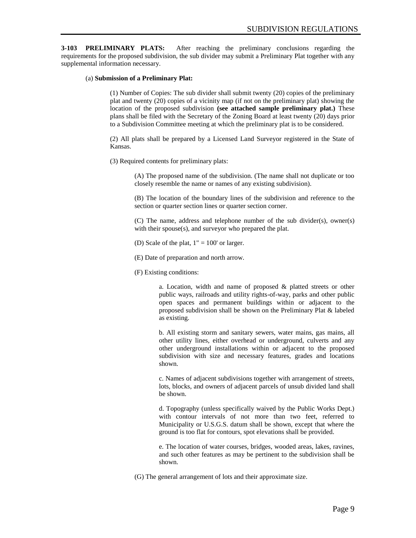**3-103 PRELIMINARY PLATS:** After reaching the preliminary conclusions regarding the requirements for the proposed subdivision, the sub divider may submit a Preliminary Plat together with any supplemental information necessary.

#### (a) **Submission of a Preliminary Plat:**

(1) Number of Copies: The sub divider shall submit twenty (20) copies of the preliminary plat and twenty (20) copies of a vicinity map (if not on the preliminary plat) showing the location of the proposed subdivision **(see attached sample preliminary plat.)** These plans shall be filed with the Secretary of the Zoning Board at least twenty (20) days prior to a Subdivision Committee meeting at which the preliminary plat is to be considered.

(2) All plats shall be prepared by a Licensed Land Surveyor registered in the State of Kansas.

(3) Required contents for preliminary plats:

(A) The proposed name of the subdivision. (The name shall not duplicate or too closely resemble the name or names of any existing subdivision).

(B) The location of the boundary lines of the subdivision and reference to the section or quarter section lines or quarter section corner.

(C) The name, address and telephone number of the sub divider(s), owner(s) with their spouse(s), and surveyor who prepared the plat.

(D) Scale of the plat,  $1" = 100'$  or larger.

(E) Date of preparation and north arrow.

(F) Existing conditions:

a. Location, width and name of proposed & platted streets or other public ways, railroads and utility rights-of-way, parks and other public open spaces and permanent buildings within or adjacent to the proposed subdivision shall be shown on the Preliminary Plat & labeled as existing.

b. All existing storm and sanitary sewers, water mains, gas mains, all other utility lines, either overhead or underground, culverts and any other underground installations within or adjacent to the proposed subdivision with size and necessary features, grades and locations shown.

c. Names of adjacent subdivisions together with arrangement of streets, lots, blocks, and owners of adjacent parcels of unsub divided land shall be shown.

d. Topography (unless specifically waived by the Public Works Dept.) with contour intervals of not more than two feet, referred to Municipality or U.S.G.S. datum shall be shown, except that where the ground is too flat for contours, spot elevations shall be provided.

e. The location of water courses, bridges, wooded areas, lakes, ravines, and such other features as may be pertinent to the subdivision shall be shown.

(G) The general arrangement of lots and their approximate size.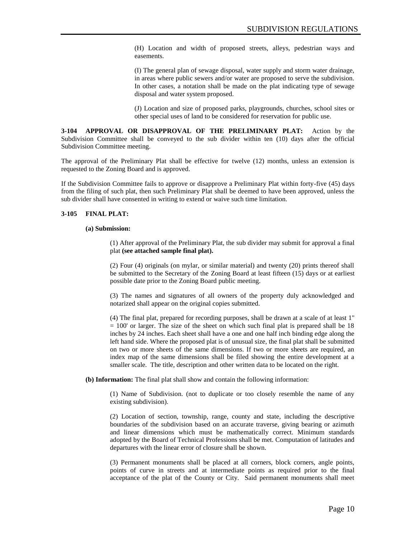(H) Location and width of proposed streets, alleys, pedestrian ways and easements.

(I) The general plan of sewage disposal, water supply and storm water drainage, in areas where public sewers and/or water are proposed to serve the subdivision. In other cases, a notation shall be made on the plat indicating type of sewage disposal and water system proposed.

(J) Location and size of proposed parks, playgrounds, churches, school sites or other special uses of land to be considered for reservation for public use.

**3-104 APPROVAL OR DISAPPROVAL OF THE PRELIMINARY PLAT:** Action by the Subdivision Committee shall be conveyed to the sub divider within ten (10) days after the official Subdivision Committee meeting.

The approval of the Preliminary Plat shall be effective for twelve (12) months, unless an extension is requested to the Zoning Board and is approved.

If the Subdivision Committee fails to approve or disapprove a Preliminary Plat within forty-five (45) days from the filing of such plat, then such Preliminary Plat shall be deemed to have been approved, unless the sub divider shall have consented in writing to extend or waive such time limitation.

#### **3-105 FINAL PLAT:**

#### **(a) Submission:**

(1) After approval of the Preliminary Plat, the sub divider may submit for approval a final plat **(see attached sample final plat).**

(2) Four (4) originals (on mylar, or similar material) and twenty (20) prints thereof shall be submitted to the Secretary of the Zoning Board at least fifteen (15) days or at earliest possible date prior to the Zoning Board public meeting.

(3) The names and signatures of all owners of the property duly acknowledged and notarized shall appear on the original copies submitted.

(4) The final plat, prepared for recording purposes, shall be drawn at a scale of at least 1"  $= 100'$  or larger. The size of the sheet on which such final plat is prepared shall be 18 inches by 24 inches. Each sheet shall have a one and one half inch binding edge along the left hand side. Where the proposed plat is of unusual size, the final plat shall be submitted on two or more sheets of the same dimensions. If two or more sheets are required, an index map of the same dimensions shall be filed showing the entire development at a smaller scale. The title, description and other written data to be located on the right.

**(b) Information:** The final plat shall show and contain the following information:

(1) Name of Subdivision. (not to duplicate or too closely resemble the name of any existing subdivision).

(2) Location of section, township, range, county and state, including the descriptive boundaries of the subdivision based on an accurate traverse, giving bearing or azimuth and linear dimensions which must be mathematically correct. Minimum standards adopted by the Board of Technical Professions shall be met. Computation of latitudes and departures with the linear error of closure shall be shown.

(3) Permanent monuments shall be placed at all corners, block corners, angle points, points of curve in streets and at intermediate points as required prior to the final acceptance of the plat of the County or City. Said permanent monuments shall meet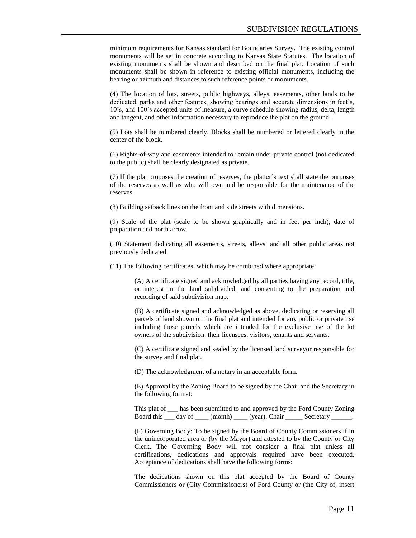minimum requirements for Kansas standard for Boundaries Survey. The existing control monuments will be set in concrete according to Kansas State Statutes. The location of existing monuments shall be shown and described on the final plat. Location of such monuments shall be shown in reference to existing official monuments, including the bearing or azimuth and distances to such reference points or monuments.

(4) The location of lots, streets, public highways, alleys, easements, other lands to be dedicated, parks and other features, showing bearings and accurate dimensions in feet's, 10's, and 100's accepted units of measure, a curve schedule showing radius, delta, length and tangent, and other information necessary to reproduce the plat on the ground.

(5) Lots shall be numbered clearly. Blocks shall be numbered or lettered clearly in the center of the block.

(6) Rights-of-way and easements intended to remain under private control (not dedicated to the public) shall be clearly designated as private.

(7) If the plat proposes the creation of reserves, the platter's text shall state the purposes of the reserves as well as who will own and be responsible for the maintenance of the reserves.

(8) Building setback lines on the front and side streets with dimensions.

(9) Scale of the plat (scale to be shown graphically and in feet per inch), date of preparation and north arrow.

(10) Statement dedicating all easements, streets, alleys, and all other public areas not previously dedicated.

(11) The following certificates, which may be combined where appropriate:

(A) A certificate signed and acknowledged by all parties having any record, title, or interest in the land subdivided, and consenting to the preparation and recording of said subdivision map.

(B) A certificate signed and acknowledged as above, dedicating or reserving all parcels of land shown on the final plat and intended for any public or private use including those parcels which are intended for the exclusive use of the lot owners of the subdivision, their licensees, visitors, tenants and servants.

(C) A certificate signed and sealed by the licensed land surveyor responsible for the survey and final plat.

(D) The acknowledgment of a notary in an acceptable form.

(E) Approval by the Zoning Board to be signed by the Chair and the Secretary in the following format:

This plat of \_\_\_ has been submitted to and approved by the Ford County Zoning Board this \_\_\_ day of \_\_\_\_ (month) \_\_\_\_ (year). Chair \_\_\_\_\_ Secretary \_\_\_\_\_.

(F) Governing Body: To be signed by the Board of County Commissioners if in the unincorporated area or (by the Mayor) and attested to by the County or City Clerk. The Governing Body will not consider a final plat unless all certifications, dedications and approvals required have been executed. Acceptance of dedications shall have the following forms:

The dedications shown on this plat accepted by the Board of County Commissioners or (City Commissioners) of Ford County or (the City of, insert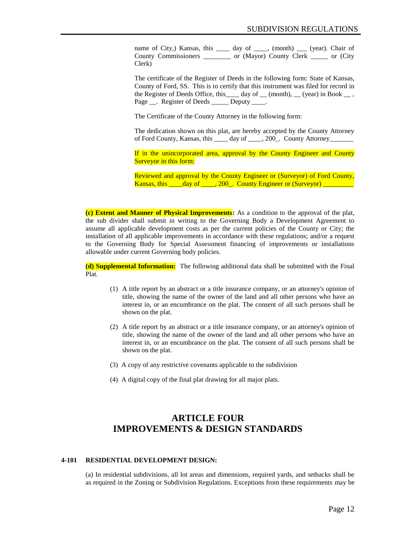name of City,) Kansas, this \_\_\_\_ day of \_\_\_\_, (month) \_\_\_ (year). Chair of County Commissioners \_\_\_\_\_\_\_\_ or (Mayor) County Clerk \_\_\_\_\_ or (City Clerk)

The certificate of the Register of Deeds in the following form: State of Kansas, County of Ford, SS. This is to certify that this instrument was filed for record in the Register of Deeds Office, this  $\_\_\_$  day of  $\_\_\_$  (month),  $\_\_$  (year) in Book  $\_\_$ , Page . Register of Deeds Deputy .

The Certificate of the County Attorney in the following form:

The dedication shown on this plat, are hereby accepted by the County Attorney of Ford County, Kansas, this \_\_\_\_\_ day of \_\_\_\_, 200\_. County Attorney\_\_\_\_\_\_\_\_\_\_\_\_

If in the unincorporated area, approval by the County Engineer and County Surveyor in this form:

Reviewed and approval by the County Engineer or (Surveyor) of Ford County, Kansas, this \_\_\_\_day of \_\_\_\_, 200\_. County Engineer or (Surveyor) \_\_\_\_\_\_\_

**(c) Extent and Manner of Physical Improvements:** As a condition to the approval of the plat, the sub divider shall submit in writing to the Governing Body a Development Agreement to assume all applicable development costs as per the current policies of the County or City; the installation of all applicable improvements in accordance with these regulations; and/or a request to the Governing Body for Special Assessment financing of improvements or installations allowable under current Governing body policies.

**(d) Supplemental Information:** The following additional data shall be submitted with the Final Plat.

- (1) A title report by an abstract or a title insurance company, or an attorney's opinion of title, showing the name of the owner of the land and all other persons who have an interest in, or an encumbrance on the plat. The consent of all such persons shall be shown on the plat.
- (2) A title report by an abstract or a title insurance company, or an attorney's opinion of title, showing the name of the owner of the land and all other persons who have an interest in, or an encumbrance on the plat. The consent of all such persons shall be shown on the plat.
- (3) A copy of any restrictive covenants applicable to the subdivision
- (4) A digital copy of the final plat drawing for all major plats.

# **ARTICLE FOUR IMPROVEMENTS & DESIGN STANDARDS**

#### **4-101 RESIDENTIAL DEVELOPMENT DESIGN:**

(a) In residential subdivisions, all lot areas and dimensions, required yards, and setbacks shall be as required in the Zoning or Subdivision Regulations. Exceptions from these requirements may be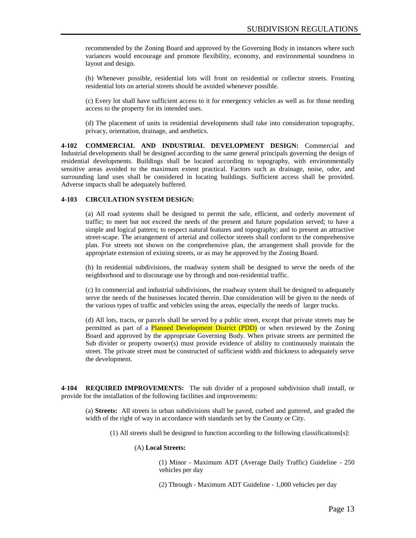recommended by the Zoning Board and approved by the Governing Body in instances where such variances would encourage and promote flexibility, economy, and environmental soundness in layout and design.

(b) Whenever possible, residential lots will front on residential or collector streets. Fronting residential lots on arterial streets should be avoided whenever possible.

(c) Every lot shall have sufficient access to it for emergency vehicles as well as for those needing access to the property for its intended uses.

(d) The placement of units in residential developments shall take into consideration topography, privacy, orientation, drainage, and aesthetics.

**4-102 COMMERCIAL AND INDUSTRIAL DEVELOPMENT DESIGN:** Commercial and Industrial developments shall be designed according to the same general principals governing the design of residential developments. Buildings shall be located according to topography, with environmentally sensitive areas avoided to the maximum extent practical. Factors such as drainage, noise, odor, and surrounding land uses shall be considered in locating buildings. Sufficient access shall be provided. Adverse impacts shall be adequately buffered.

#### **4-103 CIRCULATION SYSTEM DESIGN:**

(a) All road systems shall be designed to permit the safe, efficient, and orderly movement of traffic; to meet but not exceed the needs of the present and future population served; to have a simple and logical pattern; to respect natural features and topography; and to present an attractive street-scape. The arrangement of arterial and collector streets shall conform to the comprehensive plan. For streets not shown on the comprehensive plan, the arrangement shall provide for the appropriate extension of existing streets, or as may be approved by the Zoning Board.

(b) In residential subdivisions, the roadway system shall be designed to serve the needs of the neighborhood and to discourage use by through and non-residential traffic.

(c) In commercial and industrial subdivisions, the roadway system shall be designed to adequately serve the needs of the businesses located therein. Due consideration will be given to the needs of the various types of traffic and vehicles using the areas, especially the needs of larger trucks.

(d) All lots, tracts, or parcels shall be served by a public street, except that private streets may be permitted as part of a **Planned Development District (PDD)** or when reviewed by the Zoning Board and approved by the appropriate Governing Body. When private streets are permitted the Sub divider or property owner(s) must provide evidence of ability to continuously maintain the street. The private street must be constructed of sufficient width and thickness to adequately serve the development.

**4-104 REQUIRED IMPROVEMENTS:** The sub divider of a proposed subdivision shall install, or provide for the installation of the following facilities and improvements:

(a) **Streets:** All streets in urban subdivisions shall be paved, curbed and guttered, and graded the width of the right of way in accordance with standards set by the County or City.

(1) All streets shall be designed to function according to the following classifications[s]:

#### (A) **Local Streets:**

(1) Minor - Maximum ADT (Average Daily Traffic) Guideline - 250 vehicles per day

(2) Through - Maximum ADT Guideline - 1,000 vehicles per day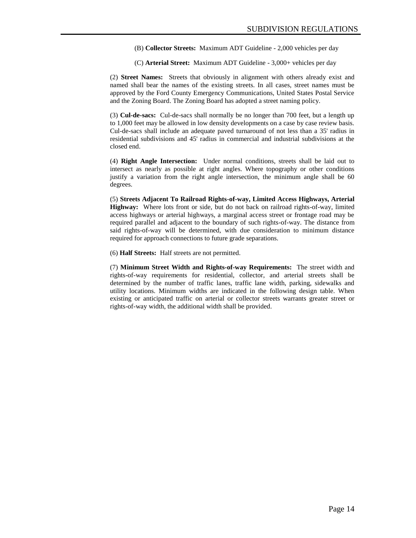(B) **Collector Streets:** Maximum ADT Guideline - 2,000 vehicles per day

(C) **Arterial Street:** Maximum ADT Guideline - 3,000+ vehicles per day

(2) **Street Names:** Streets that obviously in alignment with others already exist and named shall bear the names of the existing streets. In all cases, street names must be approved by the Ford County Emergency Communications, United States Postal Service and the Zoning Board. The Zoning Board has adopted a street naming policy.

(3) **Cul-de-sacs:** Cul-de-sacs shall normally be no longer than 700 feet, but a length up to 1,000 feet may be allowed in low density developments on a case by case review basis. Cul-de-sacs shall include an adequate paved turnaround of not less than a 35' radius in residential subdivisions and 45' radius in commercial and industrial subdivisions at the closed end.

(4) **Right Angle Intersection:** Under normal conditions, streets shall be laid out to intersect as nearly as possible at right angles. Where topography or other conditions justify a variation from the right angle intersection, the minimum angle shall be 60 degrees.

(5) **Streets Adjacent To Railroad Rights-of-way, Limited Access Highways, Arterial Highway:** Where lots front or side, but do not back on railroad rights-of-way, limited access highways or arterial highways, a marginal access street or frontage road may be required parallel and adjacent to the boundary of such rights-of-way. The distance from said rights-of-way will be determined, with due consideration to minimum distance required for approach connections to future grade separations.

(6) **Half Streets:** Half streets are not permitted.

(7) **Minimum Street Width and Rights-of-way Requirements:** The street width and rights-of-way requirements for residential, collector, and arterial streets shall be determined by the number of traffic lanes, traffic lane width, parking, sidewalks and utility locations. Minimum widths are indicated in the following design table. When existing or anticipated traffic on arterial or collector streets warrants greater street or rights-of-way width, the additional width shall be provided.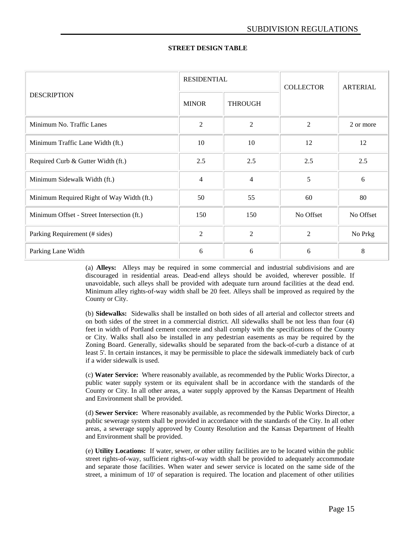| <b>DESCRIPTION</b>                         | <b>RESIDENTIAL</b> |                | <b>COLLECTOR</b> | ARTERIAL  |
|--------------------------------------------|--------------------|----------------|------------------|-----------|
|                                            | <b>MINOR</b>       | <b>THROUGH</b> |                  |           |
| Minimum No. Traffic Lanes                  | $\overline{2}$     | $\overline{2}$ | $\overline{2}$   | 2 or more |
| Minimum Traffic Lane Width (ft.)           | 10                 | 10             | 12               | 12        |
| Required Curb & Gutter Width (ft.)         | 2.5                | 2.5            | 2.5              | 2.5       |
| Minimum Sidewalk Width (ft.)               | 4                  | $\overline{4}$ | 5                | 6         |
| Minimum Required Right of Way Width (ft.)  | 50                 | 55             | 60               | 80        |
| Minimum Offset - Street Intersection (ft.) | 150                | 150            | No Offset        | No Offset |
| Parking Requirement (# sides)              | $\overline{2}$     | $\overline{2}$ | $\overline{2}$   | No Prkg   |
| Parking Lane Width                         | 6                  | 6              | 6                | 8         |

### **STREET DESIGN TABLE**

(a) **Alleys:** Alleys may be required in some commercial and industrial subdivisions and are discouraged in residential areas. Dead-end alleys should be avoided, wherever possible. If unavoidable, such alleys shall be provided with adequate turn around facilities at the dead end. Minimum alley rights-of-way width shall be 20 feet. Alleys shall be improved as required by the County or City.

(b) **Sidewalks:** Sidewalks shall be installed on both sides of all arterial and collector streets and on both sides of the street in a commercial district. All sidewalks shall be not less than four (4) feet in width of Portland cement concrete and shall comply with the specifications of the County or City. Walks shall also be installed in any pedestrian easements as may be required by the Zoning Board. Generally, sidewalks should be separated from the back-of-curb a distance of at least 5'. In certain instances, it may be permissible to place the sidewalk immediately back of curb if a wider sidewalk is used.

(c) **Water Service:** Where reasonably available, as recommended by the Public Works Director, a public water supply system or its equivalent shall be in accordance with the standards of the County or City. In all other areas, a water supply approved by the Kansas Department of Health and Environment shall be provided.

(d) **Sewer Service:** Where reasonably available, as recommended by the Public Works Director, a public sewerage system shall be provided in accordance with the standards of the City. In all other areas, a sewerage supply approved by County Resolution and the Kansas Department of Health and Environment shall be provided.

(e) **Utility Locations:** If water, sewer, or other utility facilities are to be located within the public street rights-of-way, sufficient rights-of-way width shall be provided to adequately accommodate and separate those facilities. When water and sewer service is located on the same side of the street, a minimum of 10' of separation is required. The location and placement of other utilities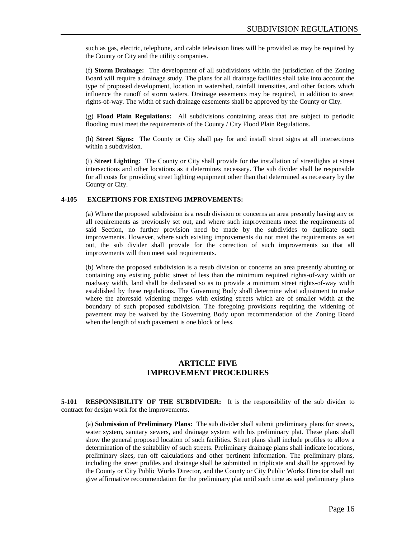such as gas, electric, telephone, and cable television lines will be provided as may be required by the County or City and the utility companies.

(f) **Storm Drainage:** The development of all subdivisions within the jurisdiction of the Zoning Board will require a drainage study. The plans for all drainage facilities shall take into account the type of proposed development, location in watershed, rainfall intensities, and other factors which influence the runoff of storm waters. Drainage easements may be required, in addition to street rights-of-way. The width of such drainage easements shall be approved by the County or City.

(g) **Flood Plain Regulations:** All subdivisions containing areas that are subject to periodic flooding must meet the requirements of the County / City Flood Plain Regulations.

(h) **Street Signs:** The County or City shall pay for and install street signs at all intersections within a subdivision.

(i) **Street Lighting:** The County or City shall provide for the installation of streetlights at street intersections and other locations as it determines necessary. The sub divider shall be responsible for all costs for providing street lighting equipment other than that determined as necessary by the County or City.

#### **4-105 EXCEPTIONS FOR EXISTING IMPROVEMENTS:**

(a) Where the proposed subdivision is a resub division or concerns an area presently having any or all requirements as previously set out, and where such improvements meet the requirements of said Section, no further provision need be made by the subdivides to duplicate such improvements. However, where such existing improvements do not meet the requirements as set out, the sub divider shall provide for the correction of such improvements so that all improvements will then meet said requirements.

(b) Where the proposed subdivision is a resub division or concerns an area presently abutting or containing any existing public street of less than the minimum required rights-of-way width or roadway width, land shall be dedicated so as to provide a minimum street rights-of-way width established by these regulations. The Governing Body shall determine what adjustment to make where the aforesaid widening merges with existing streets which are of smaller width at the boundary of such proposed subdivision. The foregoing provisions requiring the widening of pavement may be waived by the Governing Body upon recommendation of the Zoning Board when the length of such pavement is one block or less.

### **ARTICLE FIVE IMPROVEMENT PROCEDURES**

**5-101 RESPONSIBILITY OF THE SUBDIVIDER:** It is the responsibility of the sub divider to contract for design work for the improvements.

(a) **Submission of Preliminary Plans:** The sub divider shall submit preliminary plans for streets, water system, sanitary sewers, and drainage system with his preliminary plat. These plans shall show the general proposed location of such facilities. Street plans shall include profiles to allow a determination of the suitability of such streets. Preliminary drainage plans shall indicate locations, preliminary sizes, run off calculations and other pertinent information. The preliminary plans, including the street profiles and drainage shall be submitted in triplicate and shall be approved by the County or City Public Works Director, and the County or City Public Works Director shall not give affirmative recommendation for the preliminary plat until such time as said preliminary plans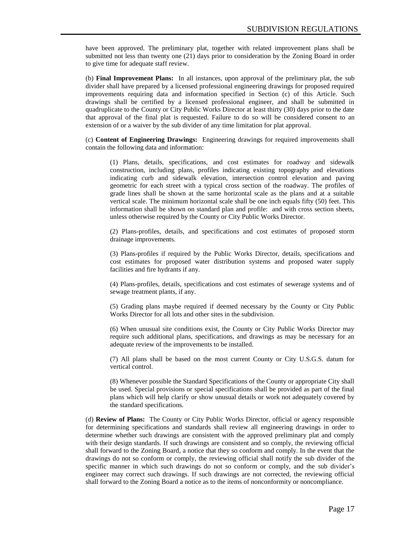have been approved. The preliminary plat, together with related improvement plans shall be submitted not less than twenty one (21) days prior to consideration by the Zoning Board in order to give time for adequate staff review.

(b) **Final Improvement Plans:** In all instances, upon approval of the preliminary plat, the sub divider shall have prepared by a licensed professional engineering drawings for proposed required improvements requiring data and information specified in Section (c) of this Article. Such drawings shall be certified by a licensed professional engineer, and shall be submitted in quadruplicate to the County or City Public Works Director at least thirty (30) days prior to the date that approval of the final plat is requested. Failure to do so will be considered consent to an extension of or a waiver by the sub divider of any time limitation for plat approval.

(c) **Content of Engineering Drawings:** Engineering drawings for required improvements shall contain the following data and information:

(1) Plans, details, specifications, and cost estimates for roadway and sidewalk construction, including plans, profiles indicating existing topography and elevations indicating curb and sidewalk elevation, intersection control elevation and paving geometric for each street with a typical cross section of the roadway. The profiles of grade lines shall be shown at the same horizontal scale as the plans and at a suitable vertical scale. The minimum horizontal scale shall be one inch equals fifty (50) feet. This information shall be shown on standard plan and profile: and with cross section sheets, unless otherwise required by the County or City Public Works Director.

(2) Plans-profiles, details, and specifications and cost estimates of proposed storm drainage improvements.

(3) Plans-profiles if required by the Public Works Director, details, specifications and cost estimates for proposed water distribution systems and proposed water supply facilities and fire hydrants if any.

(4) Plans-profiles, details, specifications and cost estimates of sewerage systems and of sewage treatment plants, if any.

(5) Grading plans maybe required if deemed necessary by the County or City Public Works Director for all lots and other sites in the subdivision.

(6) When unusual site conditions exist, the County or City Public Works Director may require such additional plans, specifications, and drawings as may be necessary for an adequate review of the improvements to be installed.

(7) All plans shall be based on the most current County or City U.S.G.S. datum for vertical control.

(8) Whenever possible the Standard Specifications of the County or appropriate City shall be used. Special provisions or special specifications shall be provided as part of the final plans which will help clarify or show unusual details or work not adequately covered by the standard specifications.

(d) **Review of Plans:** The County or City Public Works Director, official or agency responsible for determining specifications and standards shall review all engineering drawings in order to determine whether such drawings are consistent with the approved preliminary plat and comply with their design standards. If such drawings are consistent and so comply, the reviewing official shall forward to the Zoning Board, a notice that they so conform and comply. In the event that the drawings do not so conform or comply, the reviewing official shall notify the sub divider of the specific manner in which such drawings do not so conform or comply, and the sub divider's engineer may correct such drawings. If such drawings are not corrected, the reviewing official shall forward to the Zoning Board a notice as to the items of nonconformity or noncompliance.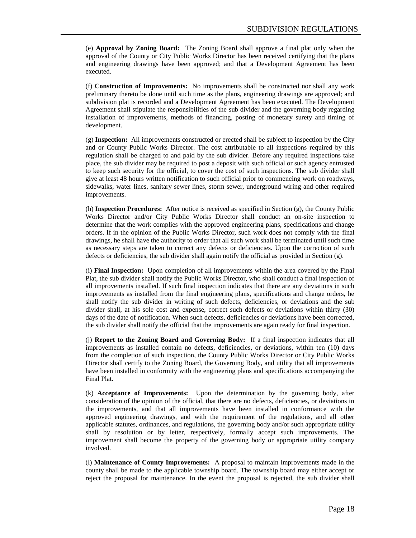(e) **Approval by Zoning Board:** The Zoning Board shall approve a final plat only when the approval of the County or City Public Works Director has been received certifying that the plans and engineering drawings have been approved; and that a Development Agreement has been executed.

(f) **Construction of Improvements:** No improvements shall be constructed nor shall any work preliminary thereto be done until such time as the plans, engineering drawings are approved; and subdivision plat is recorded and a Development Agreement has been executed. The Development Agreement shall stipulate the responsibilities of the sub divider and the governing body regarding installation of improvements, methods of financing, posting of monetary surety and timing of development.

(g) **Inspection:** All improvements constructed or erected shall be subject to inspection by the City and or County Public Works Director. The cost attributable to all inspections required by this regulation shall be charged to and paid by the sub divider. Before any required inspections take place, the sub divider may be required to post a deposit with such official or such agency entrusted to keep such security for the official, to cover the cost of such inspections. The sub divider shall give at least 48 hours written notification to such official prior to commencing work on roadways, sidewalks, water lines, sanitary sewer lines, storm sewer, underground wiring and other required improvements.

(h) **Inspection Procedures:** After notice is received as specified in Section (g), the County Public Works Director and/or City Public Works Director shall conduct an on-site inspection to determine that the work complies with the approved engineering plans, specifications and change orders. If in the opinion of the Public Works Director, such work does not comply with the final drawings, he shall have the authority to order that all such work shall be terminated until such time as necessary steps are taken to correct any defects or deficiencies. Upon the correction of such defects or deficiencies, the sub divider shall again notify the official as provided in Section (g).

(i) **Final Inspection:** Upon completion of all improvements within the area covered by the Final Plat, the sub divider shall notify the Public Works Director, who shall conduct a final inspection of all improvements installed. If such final inspection indicates that there are any deviations in such improvements as installed from the final engineering plans, specifications and change orders, he shall notify the sub divider in writing of such defects, deficiencies, or deviations and the sub divider shall, at his sole cost and expense, correct such defects or deviations within thirty (30) days of the date of notification. When such defects, deficiencies or deviations have been corrected, the sub divider shall notify the official that the improvements are again ready for final inspection.

(j) **Report to the Zoning Board and Governing Body:** If a final inspection indicates that all improvements as installed contain no defects, deficiencies, or deviations, within ten (10) days from the completion of such inspection, the County Public Works Director or City Public Works Director shall certify to the Zoning Board, the Governing Body, and utility that all improvements have been installed in conformity with the engineering plans and specifications accompanying the Final Plat.

(k) **Acceptance of Improvements:** Upon the determination by the governing body, after consideration of the opinion of the official, that there are no defects, deficiencies, or deviations in the improvements, and that all improvements have been installed in conformance with the approved engineering drawings, and with the requirement of the regulations, and all other applicable statutes, ordinances, and regulations, the governing body and/or such appropriate utility shall by resolution or by letter, respectively, formally accept such improvements. The improvement shall become the property of the governing body or appropriate utility company involved.

(l) **Maintenance of County Improvements:** A proposal to maintain improvements made in the county shall be made to the applicable township board. The township board may either accept or reject the proposal for maintenance. In the event the proposal is rejected, the sub divider shall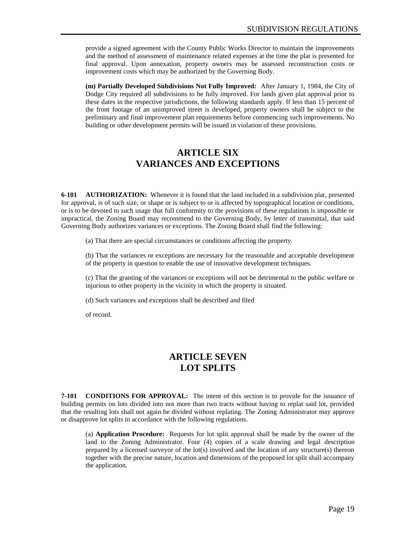provide a signed agreement with the County Public Works Director to maintain the improvements and the method of assessment of maintenance related expenses at the time the plat is presented for final approval. Upon annexation, property owners may be assessed reconstruction costs or improvement costs which may be authorized by the Governing Body.

**(m) Partially Developed Subdivisions Not Fully Improved:** After January 1, 1984, the City of Dodge City required all subdivisions to be fully improved. For lands given plat approval prior to these dates in the respective jurisdictions, the following standards apply. If less than 15 percent of the front footage of an unimproved street is developed, property owners shall be subject to the preliminary and final improvement plan requirements before commencing such improvements. No building or other development permits will be issued in violation of these provisions.

# **ARTICLE SIX VARIANCES AND EXCEPTIONS**

**6-101 AUTHORIZATION:** Whenever it is found that the land included in a subdivision plat, presented for approval, is of such size, or shape or is subject to or is affected by topographical location or conditions, or is to be devoted to such usage that full conformity to the provisions of these regulations is impossible or impractical, the Zoning Board may recommend to the Governing Body, by letter of transmittal, that said Governing Body authorizes variances or exceptions. The Zoning Board shall find the following:

(a) That there are special circumstances or conditions affecting the property.

(b) That the variances or exceptions are necessary for the reasonable and acceptable development of the property in question to enable the use of innovative development techniques.

(c) That the granting of the variances or exceptions will not be detrimental to the public welfare or injurious to other property in the vicinity in which the property is situated.

(d) Such variances and exceptions shall be described and filed

of record.

# **ARTICLE SEVEN LOT SPLITS**

**7-101 CONDITIONS FOR APPROVAL:** The intent of this section is to provide for the issuance of building permits on lots divided into not more than two tracts without having to replat said lot, provided that the resulting lots shall not again be divided without replating. The Zoning Administrator may approve or disapprove lot splits in accordance with the following regulations.

(a) **Application Procedure:** Requests for lot split approval shall be made by the owner of the land to the Zoning Administrator. Four (4) copies of a scale drawing and legal description prepared by a licensed surveyor of the  $lot(s)$  involved and the location of any structure(s) thereon together with the precise nature, location and dimensions of the proposed lot split shall accompany the application.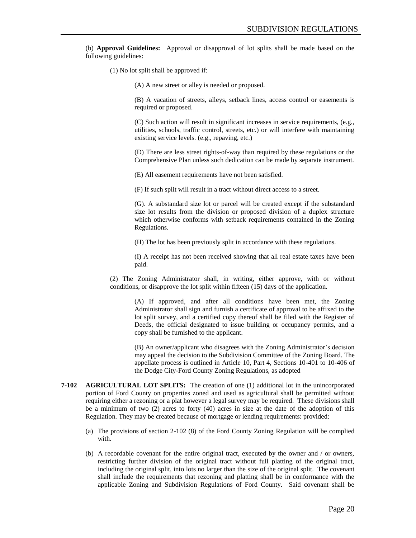(b) **Approval Guidelines:** Approval or disapproval of lot splits shall be made based on the following guidelines:

(1) No lot split shall be approved if:

(A) A new street or alley is needed or proposed.

(B) A vacation of streets, alleys, setback lines, access control or easements is required or proposed.

(C) Such action will result in significant increases in service requirements, (e.g., utilities, schools, traffic control, streets, etc.) or will interfere with maintaining existing service levels. (e.g., repaving, etc.)

(D) There are less street rights-of-way than required by these regulations or the Comprehensive Plan unless such dedication can be made by separate instrument.

(E) All easement requirements have not been satisfied.

(F) If such split will result in a tract without direct access to a street.

(G). A substandard size lot or parcel will be created except if the substandard size lot results from the division or proposed division of a duplex structure which otherwise conforms with setback requirements contained in the Zoning Regulations.

(H) The lot has been previously split in accordance with these regulations.

(I) A receipt has not been received showing that all real estate taxes have been paid.

(2) The Zoning Administrator shall, in writing, either approve, with or without conditions, or disapprove the lot split within fifteen (15) days of the application.

> (A) If approved, and after all conditions have been met, the Zoning Administrator shall sign and furnish a certificate of approval to be affixed to the lot split survey, and a certified copy thereof shall be filed with the Register of Deeds, the official designated to issue building or occupancy permits, and a copy shall be furnished to the applicant.

> (B) An owner/applicant who disagrees with the Zoning Administrator's decision may appeal the decision to the Subdivision Committee of the Zoning Board. The appellate process is outlined in Article 10, Part 4, Sections 10-401 to 10-406 of the Dodge City-Ford County Zoning Regulations, as adopted

- **7-102 AGRICULTURAL LOT SPLITS:** The creation of one (1) additional lot in the unincorporated portion of Ford County on properties zoned and used as agricultural shall be permitted without requiring either a rezoning or a plat however a legal survey may be required. These divisions shall be a minimum of two (2) acres to forty (40) acres in size at the date of the adoption of this Regulation. They may be created because of mortgage or lending requirements: provided:
	- (a) The provisions of section 2-102 (8) of the Ford County Zoning Regulation will be complied with.
	- (b) A recordable covenant for the entire original tract, executed by the owner and / or owners, restricting further division of the original tract without full platting of the original tract, including the original split, into lots no larger than the size of the original split. The covenant shall include the requirements that rezoning and platting shall be in conformance with the applicable Zoning and Subdivision Regulations of Ford County. Said covenant shall be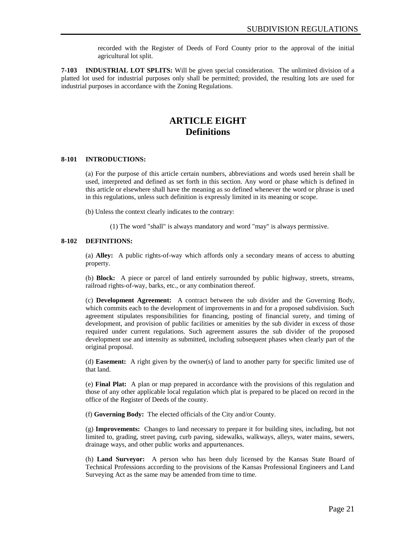recorded with the Register of Deeds of Ford County prior to the approval of the initial agricultural lot split.

**7-103 INDUSTRIAL LOT SPLITS:** Will be given special consideration. The unlimited division of a platted lot used for industrial purposes only shall be permitted; provided, the resulting lots are used for industrial purposes in accordance with the Zoning Regulations.

# **ARTICLE EIGHT Definitions**

#### **8-101 INTRODUCTIONS:**

(a) For the purpose of this article certain numbers, abbreviations and words used herein shall be used, interpreted and defined as set forth in this section. Any word or phase which is defined in this article or elsewhere shall have the meaning as so defined whenever the word or phrase is used in this regulations, unless such definition is expressly limited in its meaning or scope.

(b) Unless the context clearly indicates to the contrary:

(1) The word "shall" is always mandatory and word "may" is always permissive.

#### **8-102 DEFINITIONS:**

(a) **Alley:** A public rights-of-way which affords only a secondary means of access to abutting property.

(b) **Block:** A piece or parcel of land entirely surrounded by public highway, streets, streams, railroad rights-of-way, barks, etc., or any combination thereof.

(c) **Development Agreement:** A contract between the sub divider and the Governing Body, which commits each to the development of improvements in and for a proposed subdivision. Such agreement stipulates responsibilities for financing, posting of financial surety, and timing of development, and provision of public facilities or amenities by the sub divider in excess of those required under current regulations. Such agreement assures the sub divider of the proposed development use and intensity as submitted, including subsequent phases when clearly part of the original proposal.

(d) **Easement:** A right given by the owner(s) of land to another party for specific limited use of that land.

(e) **Final Plat:** A plan or map prepared in accordance with the provisions of this regulation and those of any other applicable local regulation which plat is prepared to be placed on record in the office of the Register of Deeds of the county.

(f) **Governing Body:** The elected officials of the City and/or County.

(g) **Improvements:** Changes to land necessary to prepare it for building sites, including, but not limited to, grading, street paving, curb paving, sidewalks, walkways, alleys, water mains, sewers, drainage ways, and other public works and appurtenances.

(h) **Land Surveyor:** A person who has been duly licensed by the Kansas State Board of Technical Professions according to the provisions of the Kansas Professional Engineers and Land Surveying Act as the same may be amended from time to time.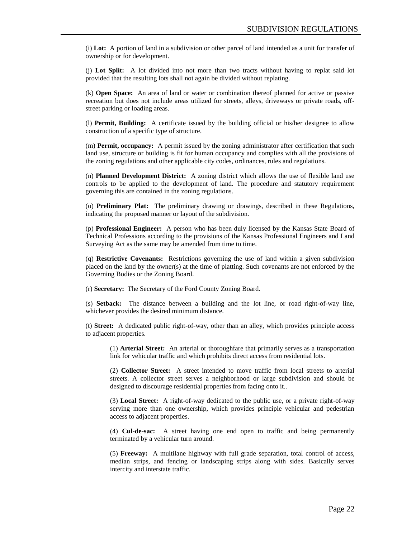(i) **Lot:** A portion of land in a subdivision or other parcel of land intended as a unit for transfer of ownership or for development.

(j) **Lot Split:** A lot divided into not more than two tracts without having to replat said lot provided that the resulting lots shall not again be divided without replating.

(k) **Open Space:** An area of land or water or combination thereof planned for active or passive recreation but does not include areas utilized for streets, alleys, driveways or private roads, offstreet parking or loading areas.

(l) **Permit, Building:** A certificate issued by the building official or his/her designee to allow construction of a specific type of structure.

(m) **Permit, occupancy:** A permit issued by the zoning administrator after certification that such land use, structure or building is fit for human occupancy and complies with all the provisions of the zoning regulations and other applicable city codes, ordinances, rules and regulations.

(n) **Planned Development District:** A zoning district which allows the use of flexible land use controls to be applied to the development of land. The procedure and statutory requirement governing this are contained in the zoning regulations.

(o) **Preliminary Plat:** The preliminary drawing or drawings, described in these Regulations, indicating the proposed manner or layout of the subdivision.

(p) **Professional Engineer:** A person who has been duly licensed by the Kansas State Board of Technical Professions according to the provisions of the Kansas Professional Engineers and Land Surveying Act as the same may be amended from time to time.

(q) **Restrictive Covenants:** Restrictions governing the use of land within a given subdivision placed on the land by the owner(s) at the time of platting. Such covenants are not enforced by the Governing Bodies or the Zoning Board.

(r) **Secretary:** The Secretary of the Ford County Zoning Board.

(s) **Setback:** The distance between a building and the lot line, or road right-of-way line, whichever provides the desired minimum distance.

(t) **Street:** A dedicated public right-of-way, other than an alley, which provides principle access to adjacent properties.

(1) **Arterial Street:** An arterial or thoroughfare that primarily serves as a transportation link for vehicular traffic and which prohibits direct access from residential lots.

(2) **Collector Street:** A street intended to move traffic from local streets to arterial streets. A collector street serves a neighborhood or large subdivision and should be designed to discourage residential properties from facing onto it..

(3) **Local Street:** A right-of-way dedicated to the public use, or a private right-of-way serving more than one ownership, which provides principle vehicular and pedestrian access to adjacent properties.

(4) **Cul-de-sac:** A street having one end open to traffic and being permanently terminated by a vehicular turn around.

(5) **Freeway:** A multilane highway with full grade separation, total control of access, median strips, and fencing or landscaping strips along with sides. Basically serves intercity and interstate traffic.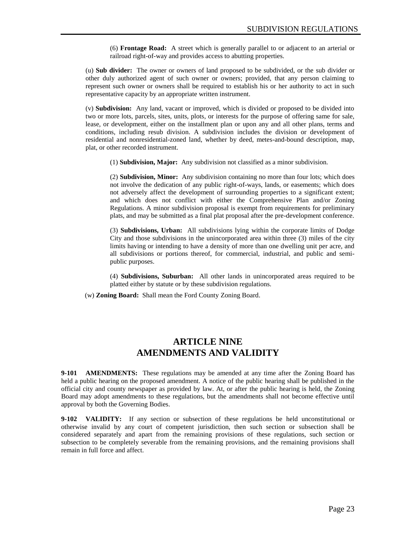(6) **Frontage Road:** A street which is generally parallel to or adjacent to an arterial or railroad right-of-way and provides access to abutting properties.

(u) **Sub divider:** The owner or owners of land proposed to be subdivided, or the sub divider or other duly authorized agent of such owner or owners; provided, that any person claiming to represent such owner or owners shall be required to establish his or her authority to act in such representative capacity by an appropriate written instrument.

(v) **Subdivision:** Any land, vacant or improved, which is divided or proposed to be divided into two or more lots, parcels, sites, units, plots, or interests for the purpose of offering same for sale, lease, or development, either on the installment plan or upon any and all other plans, terms and conditions, including resub division. A subdivision includes the division or development of residential and nonresidential-zoned land, whether by deed, metes-and-bound description, map, plat, or other recorded instrument.

(1) **Subdivision, Major:** Any subdivision not classified as a minor subdivision.

(2) **Subdivision, Minor:** Any subdivision containing no more than four lots; which does not involve the dedication of any public right-of-ways, lands, or easements; which does not adversely affect the development of surrounding properties to a significant extent; and which does not conflict with either the Comprehensive Plan and/or Zoning Regulations. A minor subdivision proposal is exempt from requirements for preliminary plats, and may be submitted as a final plat proposal after the pre-development conference.

(3) **Subdivisions, Urban:** All subdivisions lying within the corporate limits of Dodge City and those subdivisions in the unincorporated area within three (3) miles of the city limits having or intending to have a density of more than one dwelling unit per acre, and all subdivisions or portions thereof, for commercial, industrial, and public and semipublic purposes.

(4) **Subdivisions, Suburban:** All other lands in unincorporated areas required to be platted either by statute or by these subdivision regulations.

(w) **Zoning Board:** Shall mean the Ford County Zoning Board.

# **ARTICLE NINE AMENDMENTS AND VALIDITY**

**9-101 AMENDMENTS:** These regulations may be amended at any time after the Zoning Board has held a public hearing on the proposed amendment. A notice of the public hearing shall be published in the official city and county newspaper as provided by law. At, or after the public hearing is held, the Zoning Board may adopt amendments to these regulations, but the amendments shall not become effective until approval by both the Governing Bodies.

**9-102 VALIDITY:** If any section or subsection of these regulations be held unconstitutional or otherwise invalid by any court of competent jurisdiction, then such section or subsection shall be considered separately and apart from the remaining provisions of these regulations, such section or subsection to be completely severable from the remaining provisions, and the remaining provisions shall remain in full force and affect.